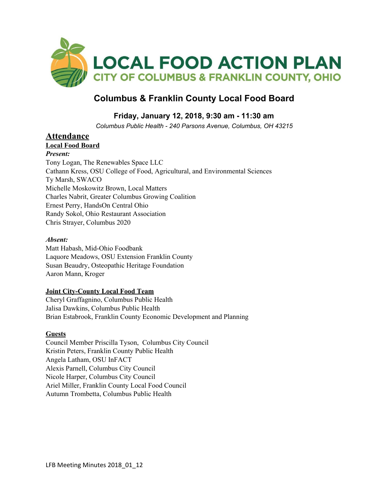

# **Columbus & Franklin County Local Food Board**

## **Friday, January 12, 2018, 9:30 am - 11:30 am**

*Columbus Public Health - 240 Parsons Avenue, Columbus, OH 43215*

### **Attendance**

**Local Food Board** *Present:* Tony Logan, The Renewables Space LLC Cathann Kress, OSU College of Food, Agricultural, and Environmental Sciences Ty Marsh, SWACO Michelle Moskowitz Brown, Local Matters Charles Nabrit, Greater Columbus Growing Coalition Ernest Perry, HandsOn Central Ohio Randy Sokol, Ohio Restaurant Association Chris Strayer, Columbus 2020

### *Absent:*

Matt Habash, Mid-Ohio Foodbank Laquore Meadows, OSU Extension Franklin County Susan Beaudry, Osteopathic Heritage Foundation Aaron Mann, Kroger

### **Joint City-County Local Food Team**

Cheryl Graffagnino, Columbus Public Health Jalisa Dawkins, Columbus Public Health Brian Estabrook, Franklin County Economic Development and Planning

### **Guests**

Council Member Priscilla Tyson, Columbus City Council Kristin Peters, Franklin County Public Health Angela Latham, OSU InFACT Alexis Parnell, Columbus City Council Nicole Harper, Columbus City Council Ariel Miller, Franklin County Local Food Council Autumn Trombetta, Columbus Public Health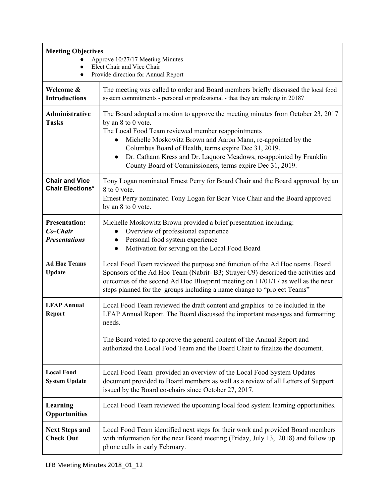| <b>Meeting Objectives</b><br>Approve 10/27/17 Meeting Minutes<br>Elect Chair and Vice Chair<br>Provide direction for Annual Report |                                                                                                                                                                                                                                                                                                                                                                                                                                      |
|------------------------------------------------------------------------------------------------------------------------------------|--------------------------------------------------------------------------------------------------------------------------------------------------------------------------------------------------------------------------------------------------------------------------------------------------------------------------------------------------------------------------------------------------------------------------------------|
| Welcome &<br><b>Introductions</b>                                                                                                  | The meeting was called to order and Board members briefly discussed the local food<br>system commitments - personal or professional - that they are making in 2018?                                                                                                                                                                                                                                                                  |
| <b>Administrative</b><br><b>Tasks</b>                                                                                              | The Board adopted a motion to approve the meeting minutes from October 23, 2017<br>by an 8 to 0 vote.<br>The Local Food Team reviewed member reappointments<br>Michelle Moskowitz Brown and Aaron Mann, re-appointed by the<br>Columbus Board of Health, terms expire Dec 31, 2019.<br>Dr. Cathann Kress and Dr. Laquore Meadows, re-appointed by Franklin<br>$\bullet$<br>County Board of Commissioners, terms expire Dec 31, 2019. |
| <b>Chair and Vice</b><br><b>Chair Elections*</b>                                                                                   | Tony Logan nominated Ernest Perry for Board Chair and the Board approved by an<br>8 to 0 vote.<br>Ernest Perry nominated Tony Logan for Boar Vice Chair and the Board approved<br>by an 8 to 0 vote.                                                                                                                                                                                                                                 |
| <b>Presentation:</b><br>Co-Chair<br><b>Presentations</b>                                                                           | Michelle Moskowitz Brown provided a brief presentation including:<br>Overview of professional experience<br>Personal food system experience<br>Motivation for serving on the Local Food Board<br>$\bullet$                                                                                                                                                                                                                           |
| <b>Ad Hoc Teams</b><br><b>Update</b>                                                                                               | Local Food Team reviewed the purpose and function of the Ad Hoc teams. Board<br>Sponsors of the Ad Hoc Team (Nabrit-B3; Strayer C9) described the activities and<br>outcomes of the second Ad Hoc Blueprint meeting on 11/01/17 as well as the next<br>steps planned for the groups including a name change to "project Teams"                                                                                                       |
| <b>LFAP Annual</b><br><b>Report</b>                                                                                                | Local Food Team reviewed the draft content and graphics to be included in the<br>LFAP Annual Report. The Board discussed the important messages and formatting<br>needs.<br>The Board voted to approve the general content of the Annual Report and<br>authorized the Local Food Team and the Board Chair to finalize the document.                                                                                                  |
| <b>Local Food</b><br><b>System Update</b>                                                                                          | Local Food Team provided an overview of the Local Food System Updates<br>document provided to Board members as well as a review of all Letters of Support<br>issued by the Board co-chairs since October 27, 2017.                                                                                                                                                                                                                   |
| Learning<br><b>Opportunities</b>                                                                                                   | Local Food Team reviewed the upcoming local food system learning opportunities.                                                                                                                                                                                                                                                                                                                                                      |
| <b>Next Steps and</b><br><b>Check Out</b>                                                                                          | Local Food Team identified next steps for their work and provided Board members<br>with information for the next Board meeting (Friday, July 13, 2018) and follow up<br>phone calls in early February.                                                                                                                                                                                                                               |